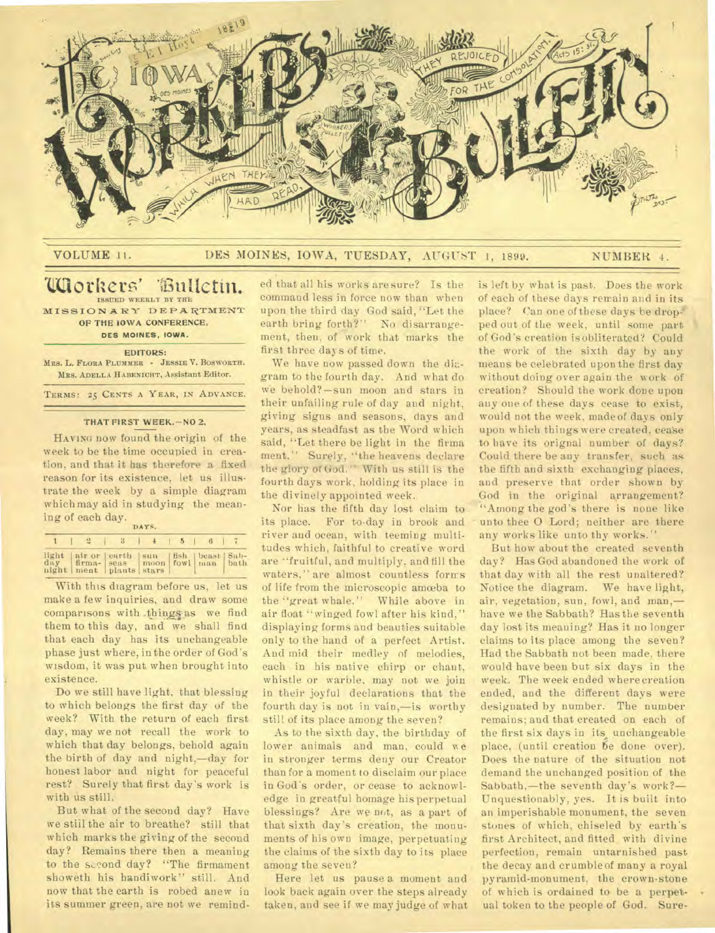

## VOLUME II. DES MOINES, IOWA, TUESDAY, AUGUST 1, 1899. NUMBER 4.

## **`Littiothers' ISSUED WEEKLY BY THE**  *MOTRETS* Bulletin.<br>
MISSIONARY DEPARTMENT

**OF THE IOWA CONFERENCE,** 

**DES MOINES, IOWA.** 

**EDITORS:** 

**MRS. L. FLORA PLUMMER - JESSIE V. BOSWORTH. MRS. ADELLA HABENICHT,** Assistant Editor.

**TERMS: 25 CENTS A YEAR, IN ADVANCE.** 

## **THAT FIRST WEEK.—NO 2.**

HAVING now found the origin of the week to be the time occupied in creation, and that it has therefore a fixed reason for its existence, let us illustrate the week by a simple diagram which may aid in studying the meaning of each day.

| DAYS. |                                                                                                               |  |  |  |  |  |  |  |
|-------|---------------------------------------------------------------------------------------------------------------|--|--|--|--|--|--|--|
|       | $1 \t3 \t4 \t5 \t6 \t7$                                                                                       |  |  |  |  |  |  |  |
|       | light air or earth sun fish beast Sab-<br>day firma- seas moon fowl man bath<br>night   ment   plants   stars |  |  |  |  |  |  |  |

With this diagram before us, let us make a few inquiries, and draw some comparisons with things as we find them to this day, and we shall find that each day has its unchangeable phase just where, in the order of God's wisdom, it was put when brought into existence.

Do we still have light, that blessing to which belongs the first day of the week? With the return of each first day, may we not recall the work to which that day belongs, behold again the birth of day and night,—day for honest labor and night for peaceful rest? Surely that first day's work is with us still.

But what of the second day? Have we still the air to breathe? still that which marks the giving of the second day? Remains there then a meaning to the second day? "The firmament showeth his handiwork" still. And now that the earth is robed anew in its summer green, are not we reminded that all his works aresure? Is the command less in force now than when upon the third day God said, "Let the earth bring forth?" No disarrangement, then, of work that marks the first three days of time.

We have now passed down the diagram to the fourth day. And what do we behold? —sun moon and stars in their unfailing rule of day and night, giving signs and seasons, days and years, as steadfast as the Word which said, "Let there be light in the firma ment," Surely, "the heavens declare the glory of God." With us still is the fourth days work, holding its place in the divinely appointed week.

Nor has the fifth day lost claim to its place. For to-day in brook and river and ocean, with teeming multitudes which, faithful to creative word are "fruitful, and multiply, and fill the waters," are almost countless forms of life from the microscopic amoeba to the "great whale." While above in air float "winged fowl after his kind," displaying forms and beauties suitable only to the hand of a perfect Artist. And mid their medley of melodies, each in his native chirp or chant, whistle or warble, may not we join in their joyful declarations that the fourth day is not in vain,—is worthy still of its place among the seven?

As to the sixth day, the birthday of lower animals and man, could we in stronger terms deny our Creator than for a moment to disclaim our place in God's order, or cease to acknowledge in greatful homage his perpetual blessings? Are we not, as a part of that sixth day's creation, the monuments of his own image, perpetuating the claims of the sixth day to its place among the seven?

Here let us pause a moment and look back again over the steps already taken, and see if we may judge of what

is left by what is past. Does the work of each of these days remain and in its. place? Can one of these days be dropped out of the week, until some part of God's creation is obliterated? Could the work of the sixth day by any means be celebrated upon the first day without doing over again the work of creation? Should the work done upon any one of these days cease to exist, would not the week, made of days only upon which things were created, cease to have its orignal number of days? Could there be any transfer, such as the fifth and sixth exchanging places, and preserve that order shown by God in the original arrangement? "Among the god's there is none like unto thee 0 Lord; neither are there any works like unto thy works."

But how about the created seventh day? Has God abandoned the work of that day with all the rest unaltered? Notice the diagram. We have light, air, vegetation, sun, fowl, and man, have we the Sabbath? Has the seventh day lost its meaning? Has it no longer claims to its place among the seven? Had the Sabbath not been made, there would have been but six days in the week. The week ended where creation ended, and the different days were designated by number. The number remains; and that created on each of the first six days in its, unchangeable place, (until creation 6e done over). Does the nature of the situation not demand the unchanged position of the Sabbath,—the seventh day's work?— Unquestionably, yes. It is built into an imperishable monument, the seven stones of which, chiseled by earth's first Architect, and fitted with divine perfection, remain untarnished past the decay and crumble of many a royal pyramid-monument, the crown-stone of which is ordained to be a perpetual token to the people of God. Sure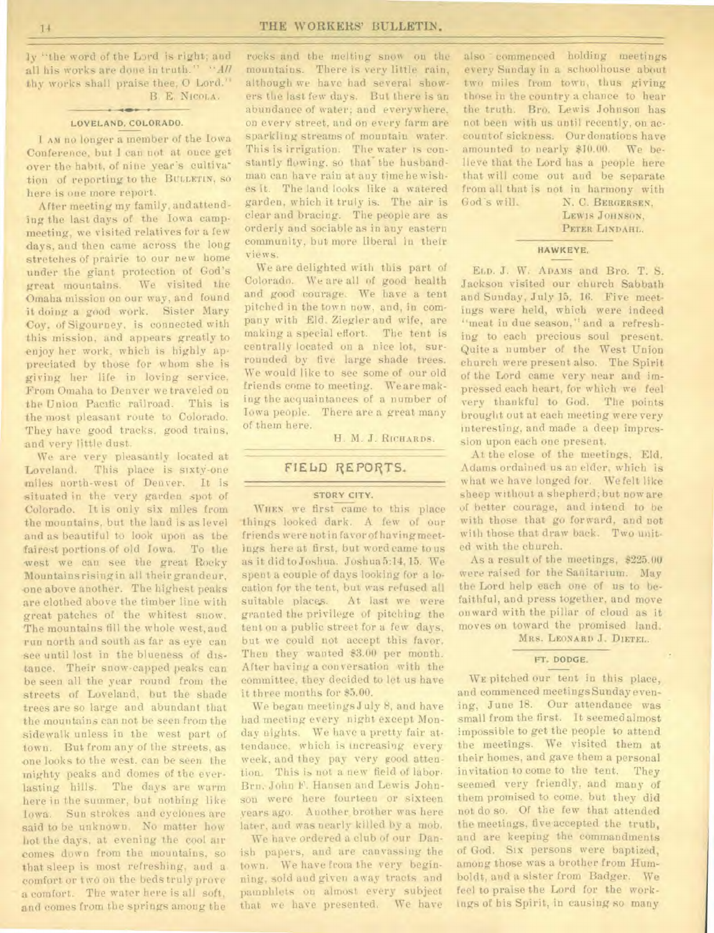ly "the word of the Lard is right; and all his works are done in truth." *"All thy* works shall praise thee, 0 Lord." B. E. **NICOLA.** 

#### **LOVELAND, COLORADO.**

I AM no longer a member of the Iowa Conference, but I can not at once get over the habit, of nine year's cultiva tion of reporting to the BULLETIN, so here is one more report.

After meeting my family, and attending the last days of the Iowa campmeeting, we visited relatives for a few days, and then came across the long stretches of prairie to our new home under the giant protection of God's great mountains. We visited the Omaha mission on our way, and found it doing a good work. Sister Mary Coy. of Sigourney, is connected with this mission, and appears greatly to enjoy her work, which is highly appreciated by those for whom she is *giving* her life in loving service. From Omaha to Denver we traveled on the Union Pacific railroad. This is the most pleasant route to Colorado. They have good tracks, good trains, and very little dust.

We are very pleasantly located at Loveland. This place is sixty-one miles north-west of Denver. It is situated in the very garden spot of Colorado. It is only six miles from the mountains, but the land is as level and as beautiful to look upon as the fairest portions of old Iowa. To the west we can see the great Rocky Mountains rising in all their grandeur, one above another. The highest peaks are clothed above the timber line with great patches of the whitest snow. The mountains fill the whole west, and run north and south as far as eye can see until lost in the blueness of distance. Their snow-capped peaks can be seen all the year round from the streets of Loveland, but the shade trees are so large and abundant that the mountains can not be seen from the sidewalk unless in the west part of town. But from any of the streets, as -one looks to the west, can be seen the mighty peaks and domes of the everlasting hills. The days are warm here in the summer, but nothing like Iowa. Sun strokes and cyclones are said to be unknown. No matter how hot the days, at evening the cool air comes down from the mountains, so that sleep is most refreshing, and a comfort or two on the beds truly prove a comfort. The water here is all soft, and comes from the springs among the

rocks and the melting snow on the mountains. There is very little rain, although we have had several showers the last few days. But there is an abundance of water; and everywhere, on every street, and on every farm are sparkling streams of mountain water. This is irrigation. The water is constantly flowing, so that the husbandman can have rain at any time he wishes it. The land looks like a watered garden, which it truly is. The air is clear and bracing. The people are as orderly and sociable as in any eastern community, but more liberal in their views.

We are delighted with this part of Colorado. We are all of good health and good courage. We have a tent pitched in the town now, and, in company with Eld. Ziegler and wife, are making a special effort. The tent is centrally located on a nice lot, surrounded by five large shade trees. We would like to see some of our old friends come to meeting. We are making the acquaintances of a number of Iowa people. There are a great many of them here.

H. M. *J.* **RICHARDS.** 

## **FIELD REPORTS.**

## **STORY CITY.**

**WHEN** we first came to this place things looked dark. A few of our friends were not in favor of having meetings here at first, but word came to us as it did to Joshua. Joshua 5:14, 15. We spent a couple of days looking for a location for the tent, but was refused all suitable places. At last we were granted the privilege of pitching the tent on a public street for a few days, but we could not accept this favor. Then they wanted \$3.00 per month. After having a con versation with the committee, they decided to let us have it three months for \$5.00.

We began meetingsJuly 8, and have had meeting every night except Monday nights. We have a pretty fair attendance, which is increasing every week, and they pay very good attention. This is not a new field of labor. Brn. John F. Hansen and Lewis Johnson were here fourteen or sixteen years ago. Another brother was here later, and was nearly killed by a mob.

We have ordered a club of our Danish papers, and are canvassing the town. We have from the very beginning, sold and given away tracts and pamphlets on almost every subject that we have presented. We have

also ' commenced holding meetings every Sunday in a schoolhouse about two miles from town, thus giving those in the country a chance to hear the truth. Bro. Lewis Johnson has not been with us until recently, on account of sickness. Our donations have amounted to nearly \$10.00. We believe that the Lord has a people here that will come out and be separate from all that is not in harmony with God's will. N. C. BERGERSEN,

LEWIS **JOHNSON**, **PETER LINDAHL.** 

### **HAWKEYE,**

**ELD.** J. W. **ADAMS** and Bro. T. S. Jackson visited our church Sabbath and Sunday, July 15, 16. Five meetings were held, which were indeed "meat in due season," and a refreshing to each precious soul present. Quite a number of the West Union church were present also. The Spirit of the Lord came very near and impressed each heart, for which we feel very thankful to God. The points brought out at each meeting were very interesting, and made a deep impression upon each one present.

At the close of the meetings. Eld. Adams ordained us au elder, which is what we have longed for. We felt like sheep without a shepherd; but now are of better courage, and intend to be with those that go forward, and not with those that draw back. Two united with the church.

As a result of the meetings, \$225.00 were raised for the Sanitarium. May the Lord help each one of us to befaithful, and press together, and move onward with the pillar of cloud as it moves on toward the promised land. **MRS. LEONARD** *J.* **DIETEL.** 

#### **FT. DODGE.**

**WE** pitched our tent in this place, and commenced meetings Sunday evening, June 18. Our attendance was small from the first. It seemed almost impossible to get the people to attend the meetings. We visited them at their homes, and gave them a personal invitation to come to the tent. They seemed very friendly, and many of them promised to come. but they did not do so. Of the few that attended the meetings, five accepted the truth, and are keeping the commandments of God. Six persons were baptized, among those was a brother from Humboldt, and a sister from Badger. We feel to praise the Lord for the workings of his Spirit, in causing so many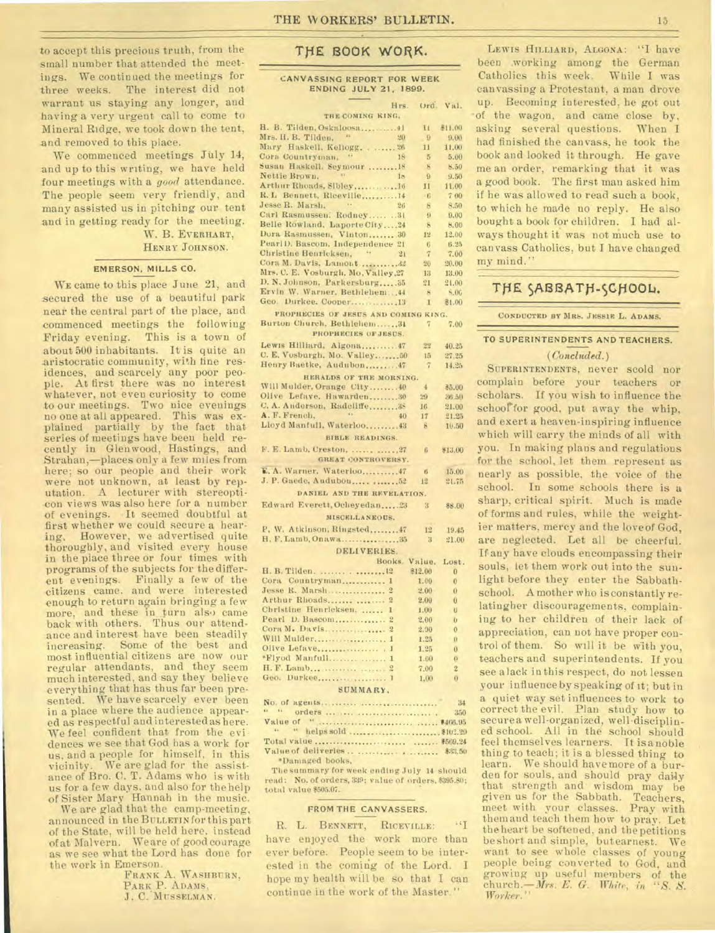to accept this precious truth, from the small number that attended the meetings. We continued the meetings for three weeks. The interest did not warrant us staying any longer, and having a very urgent call to come to Mineral Ridge, we took down the tent, and removed to this place.

We commenced meetings July 14, and up to this writing, we have held four meetings with a *good* attendance. The people seem very friendly, and many assisted us in pitching our tent and in getting ready for the meeting.

W. B. EVERHART, HENRY JOHNSON.

### **EMERSON, MILLS CO.**

**WE** came to this place June 21, and secured the use of a beautiful park near the central part of the place, and commenced meetings the following Friday evening. This is a town of about 500 inhabitants. It is quite an aristocratic community, with fine residences, and scarcely any poor people. At first there was no interest whatever, not even curiosity to come to our meetings. Two nice evenings no one at all appeared. This was ex-plained partially by the fact that series of meetings have been held recently in Glenwood, Hastings, and Strahan,-places only a few miles from here; so our people and their work were not unknown, at least by reputation. A lecturer with stereopticon views was also here for a number of evenings. .It seemed doubtful at first whether we could secure a hearing. However, we advertised quite thoroughly, and visited every house in the place three or four times with programs of the subjects for the different evenings. Finally a few of the citizens came. and were interested enough to return again bringing a few more, and these in turn also came back with others. Thus our attendance and interest have been steadily increasing. Some of the best and most influential citizens are now our regular attendants, and they seem much interested, and say they believe everything that has thus far been presented. We have scarcely ever been in a place where the audience appeared as respectful and interested as here. We feel confident that from the evi dences we see that God has a work for us, and a people for himself, in this vicinity. We are glad for the assistance of Bro. C. T. Adams who is with us for a few days, and also for the help of Sister Mary Hannah in the music.

We are glad that the camp-meeting, announced in the BULLETIN for this part of the State, will be held here, instead of at Malvern. We are of good courage as we see what the Lord has done for the work in Emerson.

FRANK A. WASHBURN, PARK **P.** ADAMS, **J.** C. MUSSELMAN.

## **THE 800K WORK.**

#### CANVASSING REPORT **FOR WEEK**  ENDING JULY 21, **1899.**

| Hrs.                                                                 | Ord.            | Val.                |  |  |  |  |  |
|----------------------------------------------------------------------|-----------------|---------------------|--|--|--|--|--|
| THE COMING KING,                                                     |                 |                     |  |  |  |  |  |
|                                                                      | Ħ               | \$11.00             |  |  |  |  |  |
| Mrs. H. B. Tilden. "<br>20                                           | $\overline{9}$  | $-9.00$             |  |  |  |  |  |
| $\ldots$ . 26<br>Mary Haskell, Kellogg.                              | 11              | 11.00               |  |  |  |  |  |
| Cora Countryman,<br>18                                               | 5               | 5.00                |  |  |  |  |  |
| Susan Haskell, Seymour  18                                           | ×               | 8.50                |  |  |  |  |  |
| x<br>Nettie Brown.<br>18                                             | $\overline{9}$  | 9.50                |  |  |  |  |  |
| Arthur Rhoads, Sibley16                                              | $_{11}$         | 11.00               |  |  |  |  |  |
| R. L Bennett, Riceville 14                                           | $+6$            | 700                 |  |  |  |  |  |
| Jesse R. Marsh.<br>$\mathbf{r}$ .<br>26                              | 8               | 8.50                |  |  |  |  |  |
| Carl Rasmussen. Rodney31                                             | $\overline{9}$  | 9.00                |  |  |  |  |  |
| Belle Rowland, Laporte City24                                        | $-8$            | 8.00                |  |  |  |  |  |
| Dora Rasmussen, Vinton 30                                            | 12              | 12.00               |  |  |  |  |  |
| PearlD. Bascom, Independence 21<br>44                                | 6               | 6.25                |  |  |  |  |  |
| Christine Henricksen,<br>21                                          | $\tau$          | 7.00                |  |  |  |  |  |
|                                                                      | 20<br>13        | 20.00               |  |  |  |  |  |
| Mrs. C. E. Vosburgh, Mo, Valley, 27<br>D. N. Johnson, Parkersburg 35 | 21              | 13.00<br>21.00      |  |  |  |  |  |
| Ervin W. Warner, Bethlehem44                                         | 8               | \$.00               |  |  |  |  |  |
| Geo. Durkee. Cooper13                                                | $\mathbf{I}$    | \$1.00              |  |  |  |  |  |
|                                                                      |                 |                     |  |  |  |  |  |
| PROPHECIES OF JESUS AND COMING KING.                                 |                 |                     |  |  |  |  |  |
| Burton Church, Bethlehem34                                           | $7\overline{ }$ | 7.00                |  |  |  |  |  |
| PROPHECIES OF JESUS.                                                 |                 |                     |  |  |  |  |  |
| Lewis Hilliard, Algona 47                                            | 22              | 40.25               |  |  |  |  |  |
| C. E. Vosburgh. Mo. Valley 50                                        | 15              | 27.25               |  |  |  |  |  |
| Henry Baetke, Audubon 47                                             | $\overline{7}$  | 14.25               |  |  |  |  |  |
| HERALDS OF THE MORNING.                                              |                 |                     |  |  |  |  |  |
| Will Mulder, Orange City40                                           | $\overline{4}$  | 85.00               |  |  |  |  |  |
| Olive Lefaye, Hawarden30                                             | 29              | 36.50               |  |  |  |  |  |
| C. A. Anderson, Radcliffe 38                                         | 16              | 21.00               |  |  |  |  |  |
| A. F. French,<br>40                                                  | 17              | 21.25               |  |  |  |  |  |
| Lloyd Manfull, Waterloo 43                                           | 8               | 10,50               |  |  |  |  |  |
| BIBLE READINGS.                                                      |                 |                     |  |  |  |  |  |
| F. E. Lamb, Creston.   27                                            | $\beta$         | \$13.00             |  |  |  |  |  |
| GREAT CONTROVERSY.                                                   |                 |                     |  |  |  |  |  |
| E. A. Warner, Waterloo47                                             | 6               | 15.00               |  |  |  |  |  |
| J. P. Gaede, Audubou  52                                             | 12              | 21.75               |  |  |  |  |  |
| DANIEL AND THE REVELATION.                                           |                 |                     |  |  |  |  |  |
|                                                                      |                 |                     |  |  |  |  |  |
| Edward Everett, Ocheyedan23                                          | $_{3}$          | \$8.00              |  |  |  |  |  |
| MISCELLANEOUS.                                                       |                 |                     |  |  |  |  |  |
| P. W. Atkinson, Ringsted47                                           | 12              | 19.45               |  |  |  |  |  |
| H. F. Lamb, Onawa35                                                  | $\mathbf{3}$    | 21.00               |  |  |  |  |  |
| DELIVERIES.                                                          |                 |                     |  |  |  |  |  |
| Books.                                                               | Value.          | Lost.               |  |  |  |  |  |
| H. B. Tilden.  12                                                    | \$12.00         | $\bf{0}$            |  |  |  |  |  |
| Cora Countryman 1                                                    | 1.00            | $\bf{0}$            |  |  |  |  |  |
| Jesse R. Marsh<br>$\overline{2}$                                     | 2.00            | $\bf{0}$            |  |  |  |  |  |
| Arthur Rhoads<br>$\mathbf{2}$                                        | 2.00            | $\ddot{\mathbf{0}}$ |  |  |  |  |  |
| Christine Henricksen,  1                                             | 1.00            | U                   |  |  |  |  |  |
| Pearl D. Bascom<br>$\overline{2}$                                    | 2.00            | $\mathbf{U}$        |  |  |  |  |  |
| Cora M. Davis<br>$\overline{2}$                                      | 2.00            | $\overline{0}$      |  |  |  |  |  |
| Will Mulder<br>$\mathbf{1}$                                          | 1.25            | $\bf{0}$            |  |  |  |  |  |
|                                                                      | 1,25            | $\overline{0}$      |  |  |  |  |  |
| *Flyod Manfull 1                                                     | 1.00            | $\mathbf 0$         |  |  |  |  |  |
| H. F. Lamb<br>$\overline{2}$                                         | 7.00            | $\overline{2}$      |  |  |  |  |  |
| Geo. Durkee<br>$\mathbf{1}$                                          | 1.00            | $\overline{0}$      |  |  |  |  |  |
| SUMMARY.                                                             |                 |                     |  |  |  |  |  |
|                                                                      |                 |                     |  |  |  |  |  |

|                   | 34 |
|-------------------|----|
| " " orders    350 |    |
|                   |    |
|                   |    |
|                   |    |
|                   |    |
| *Damaged books.   |    |

The summary for week ending July 14 should read: No. of orders, 339; value of orders, \$395.80; total value \$505.07.

#### **FROM THE CANVASSERS.**

R. L. BENNETT, RICEVILLE: have enjoyed the work more than ever before. People seem to be interested in the coming of the Lord. I hope my health will be so that I can continue in the work of the Master."

LEWIS HILLIARD, ALGONA: "I have been working among the German<br>Catholics this week. While I was Catholics this week. canvassing a Protestant, a man drove up. Becoming interested, he got out of the wagon, and came close by, asking several questions. When I had finished the canvass, he took the book and looked it through. He gave me an order, remarking that it was a good book. The first man asked him if he was allowed to read such a book, to which he made no reply. He also bought a book for children. I had always thought it was not much use to canvass Catholics, but I have changed my mind."

## **TfiE SABBATH-SCHOOL.**

CONDUCTED BY MRS. JESSIE L. ADAMS.

# **TO SUPERINTENDENTS AND TEACHERS.**

*(Concluded.)* 

SUPERINTENDENTS, never scold nor complain before your teachers or scholars. If you wish to influence the school for good, put away the whip, and exert a heaven-inspiring influence which will carry the minds of all with you. In making plans and regulations for the school, let them represent as nearly as possible, the voice of the school. In some schools there is a sharp, critical spirit. Much is made of forms and rules, while the weightier matters, mercy and the love of God, are neglected. Let all be cheerful. If any have clouds encompassing their souls, let them work out into the sunlight before they enter the Sabbathschool. A mother who is constantly relatiugher discouragements. complaining to her children of their lack of appreciation, can not have proper control of them. So will it be with you, teachers and superintendents. If you see a lack in this respect, do not lessen your• influence by speaking of it; but in a quiet way set influences to work to correct the evil. Plan study how to secure a well-organized, well-disciplined school. All in the school should feel themselves learners. It is a noble thing to teach; it is a blessed thing to learn. We should have more of a burden for souls, and should pray daily that strength and wisdom may be given us for the Sabbath. Teachers, meet with your classes. Pray with themand teach them how to pray. Let the heart be softened, and the petitions be short and simple, but earnest. We want to see whole classes of young people being converted to God, and growing up useful members of the church.-Mrs. *E. G. White, in "S. S. Worker."*